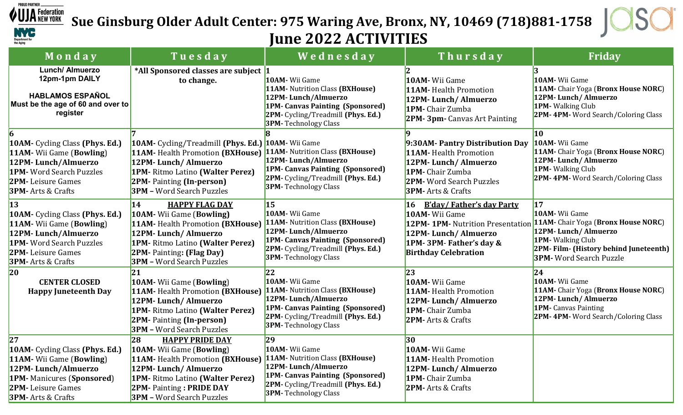

 $\frac{J A_{NEW \, VOR K}^{F. C, C, C, C}}{S}$  Sue Ginsburg Older Adult Center: 975 Waring Ave, Bronx, NY, 10469 (718)881-1758



## June 2022 ACTIVITIES

| Monday                                                                                                                                                                                       | Tuesday                                                                                                                                                                                                                                                 | Wednesday                                                                                                                                                                                              | Thursday                                                                                                                                                                    | Friday                                                                                                                                                                                         |
|----------------------------------------------------------------------------------------------------------------------------------------------------------------------------------------------|---------------------------------------------------------------------------------------------------------------------------------------------------------------------------------------------------------------------------------------------------------|--------------------------------------------------------------------------------------------------------------------------------------------------------------------------------------------------------|-----------------------------------------------------------------------------------------------------------------------------------------------------------------------------|------------------------------------------------------------------------------------------------------------------------------------------------------------------------------------------------|
| Lunch/ Almuerzo<br>12pm-1pm DAILY<br><b>HABLAMOS ESPAÑOL</b><br>Must be the age of 60 and over to<br>register                                                                                | *All Sponsored classes are subject  1<br>to change.                                                                                                                                                                                                     | 10AM- Wii Game<br>11AM- Nutrition Class (BXHouse)<br>12PM-Lunch/Almuerzo<br><b>1PM- Canvas Painting (Sponsored)</b><br>2PM- Cycling/Treadmill (Phys. Ed.)<br><b>3PM-Technology Class</b>               | 10AM- Wii Game<br><b>11AM-</b> Health Promotion<br>12PM-Lunch/Almuerzo<br>1PM- Chair Zumba<br>2PM-3pm-Canvas Art Painting                                                   | 10AM- Wii Game<br>11AM- Chair Yoga (Bronx House NORC)<br>12PM-Lunch/Almuerzo<br>1PM-Walking Club<br>2PM-4PM-Word Search/Coloring Class                                                         |
| 10AM- Cycling Class (Phys. Ed.)<br>11AM- Wii Game (Bowling)<br>12PM-Lunch/Almuerzo<br><b>1PM-</b> Word Search Puzzles<br><b>2PM-</b> Leisure Games<br><b>3PM-</b> Arts & Crafts              | 10AM- Cycling/Treadmill (Phys. Ed.) 10AM- Wii Game<br>11AM- Health Promotion (BXHouse) 11AM- Nutrition Class (BXHouse)<br>12PM-Lunch/Almuerzo<br>1PM-Ritmo Latino (Walter Perez)<br><b>2PM-Painting (In-person)</b><br><b>3PM</b> - Word Search Puzzles | 12PM-Lunch/Almuerzo<br><b>1PM- Canvas Painting (Sponsored)</b><br>2PM- Cycling/Treadmill (Phys. Ed.)<br><b>3PM-Technology Class</b>                                                                    | 9:30AM- Pantry Distribution Day<br><b>11AM-</b> Health Promotion<br>12PM-Lunch/Almuerzo<br>1PM- Chair Zumba<br><b>2PM-</b> Word Search Puzzles<br><b>3PM-</b> Arts & Crafts | $ 10\rangle$<br>10AM- Wii Game<br>11AM- Chair Yoga (Bronx House NORC)<br>12PM-Lunch/Almuerzo<br>1PM-Walking Club<br><b>2PM-4PM-</b> Word Search/Coloring Class                                 |
| <b>13</b><br>10AM- Cycling Class (Phys. Ed.)<br>11AM- Wii Game (Bowling)<br>12PM-Lunch/Almuerzo<br><b>1PM-</b> Word Search Puzzles<br><b>2PM-</b> Leisure Games<br><b>3PM-</b> Arts & Crafts | 14<br><b>HAPPY FLAG DAY</b><br>10AM- Wii Game (Bowling)<br>11AM- Health Promotion (BXHouse)<br>12PM-Lunch/Almuerzo<br>1PM-Ritmo Latino (Walter Perez)<br>2PM- Painting: (Flag Day)<br><b>3PM</b> - Word Search Puzzles                                  | 15<br>10AM- Wii Game<br>11AM- Nutrition Class (BXHouse)<br>12PM-Lunch/Almuerzo<br>1PM- Canvas Painting (Sponsored)<br>2PM- Cycling/Treadmill (Phys. Ed.)<br><b>3PM-Technology Class</b>                | <b>B'day/Father's day Party</b><br>16<br>10AM- Wii Game<br>12PM-1PM- Nutrition Presentation<br>12PM-Lunch/Almuerzo<br>1PM-3PM-Father's day &<br><b>Birthday Celebration</b> | $\overline{17}$<br>10AM- Wii Game<br>11AM- Chair Yoga (Bronx House NORC)<br>12PM-Lunch/Almuerzo<br>1PM-Walking Club<br>2PM-Film- (History behind Juneteenth)<br><b>3PM-</b> Word Search Puzzle |
| 20<br><b>CENTER CLOSED</b><br><b>Happy Juneteenth Day</b>                                                                                                                                    | 21<br>10AM- Wii Game (Bowling)<br>11AM-Health Promotion (BXHouse)<br>12PM-Lunch/Almuerzo<br>1PM-Ritmo Latino (Walter Perez)<br><b>2PM- Painting (In-person)</b><br><b>3PM</b> - Word Search Puzzles                                                     | 22<br>10AM- Wii Game<br>11AM- Nutrition Class (BXHouse)<br>12PM-Lunch/Almuerzo<br><b>1PM- Canvas Painting (Sponsored)</b><br>2PM- Cycling/Treadmill (Phys. Ed.)<br><b>3PM-Technology Class</b>         | 23<br>10AM- Wii Game<br><b>11AM-Health Promotion</b><br>12PM-Lunch/Almuerzo<br>1PM- Chair Zumba<br><b>2PM-</b> Arts & Crafts                                                | $ 24\rangle$<br>10AM- Wii Game<br>11AM- Chair Yoga (Bronx House NORC)<br>12PM-Lunch/Almuerzo<br>1PM- Canvas Painting<br><b>2PM-4PM-</b> Word Search/Coloring Class                             |
| 27<br>10AM- Cycling Class (Phys. Ed.)<br>11AM- Wii Game (Bowling)<br>12PM-Lunch/Almuerzo<br><b>1PM-</b> Manicures (Sponsored)<br><b>2PM-</b> Leisure Games<br><b>3PM-</b> Arts & Crafts      | <b>HAPPY PRIDE DAY</b><br>28<br><b>10AM-</b> Wii Game (Bowling)<br><b>11AM-</b> Health Promotion (BXHouse)<br>12PM-Lunch/Almuerzo<br>1PM-Ritmo Latino (Walter Perez)<br><b>2PM-</b> Painting: <b>PRIDE DAY</b><br><b>3PM</b> - Word Search Puzzles      | 29<br>10AM- Wii Game<br><b>11AM- Nutrition Class (BXHouse)</b><br>12PM-Lunch/Almuerzo<br>1PM- Canvas Painting (Sponsored)<br><b>2PM-</b> Cycling/Treadmill (Phys. Ed.)<br><b>3PM-</b> Technology Class | 30<br>10AM- Wii Game<br><b>11AM-</b> Health Promotion<br>12PM-Lunch/Almuerzo<br>1PM- Chair Zumba<br><b>2PM-</b> Arts & Crafts                                               |                                                                                                                                                                                                |